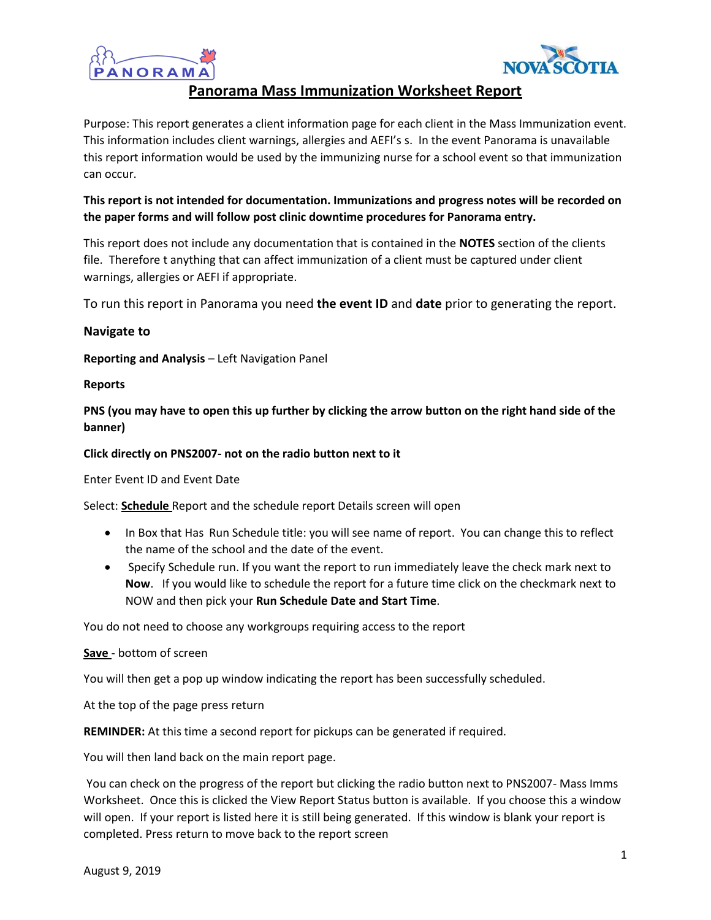



# **Panorama Mass Immunization Worksheet Report**

Purpose: This report generates a client information page for each client in the Mass Immunization event. This information includes client warnings, allergies and AEFI's s. In the event Panorama is unavailable this report information would be used by the immunizing nurse for a school event so that immunization can occur.

## **This report is not intended for documentation. Immunizations and progress notes will be recorded on the paper forms and will follow post clinic downtime procedures for Panorama entry.**

This report does not include any documentation that is contained in the **NOTES** section of the clients file. Therefore t anything that can affect immunization of a client must be captured under client warnings, allergies or AEFI if appropriate.

To run this report in Panorama you need **the event ID** and **date** prior to generating the report.

### **Navigate to**

**Reporting and Analysis** – Left Navigation Panel

#### **Reports**

**PNS (you may have to open this up further by clicking the arrow button on the right hand side of the banner)** 

#### **Click directly on PNS2007- not on the radio button next to it**

Enter Event ID and Event Date

Select: **Schedule** Report and the schedule report Details screen will open

- In Box that Has Run Schedule title: you will see name of report. You can change this to reflect the name of the school and the date of the event.
- Specify Schedule run. If you want the report to run immediately leave the check mark next to **Now**. If you would like to schedule the report for a future time click on the checkmark next to NOW and then pick your **Run Schedule Date and Start Time**.

You do not need to choose any workgroups requiring access to the report

**Save** - bottom of screen

You will then get a pop up window indicating the report has been successfully scheduled.

At the top of the page press return

**REMINDER:** At this time a second report for pickups can be generated if required.

You will then land back on the main report page.

You can check on the progress of the report but clicking the radio button next to PNS2007- Mass Imms Worksheet. Once this is clicked the View Report Status button is available. If you choose this a window will open. If your report is listed here it is still being generated. If this window is blank your report is completed. Press return to move back to the report screen